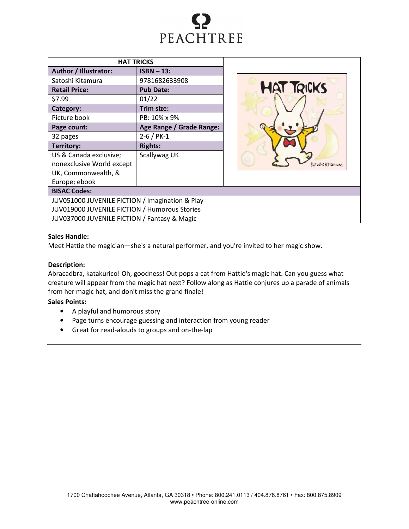

| <b>HAT TRICKS</b>                               |                          |  |  |  |
|-------------------------------------------------|--------------------------|--|--|--|
| Author / Illustrator:                           | $ISBN - 13:$             |  |  |  |
| Satoshi Kitamura                                | 9781682633908            |  |  |  |
| <b>Retail Price:</b>                            | <b>Pub Date:</b>         |  |  |  |
| \$7.99                                          | 01/22                    |  |  |  |
| Category:                                       | Trim size:               |  |  |  |
| Picture book                                    | PB: 10% x 9%             |  |  |  |
| Page count:                                     | Age Range / Grade Range: |  |  |  |
| 32 pages                                        | $2 - 6$ / PK-1           |  |  |  |
| <b>Territory:</b>                               | <b>Rights:</b>           |  |  |  |
| US & Canada exclusive;                          | Scallywag UK             |  |  |  |
| nonexclusive World except                       |                          |  |  |  |
| UK, Commonwealth, &                             |                          |  |  |  |
| Europe; ebook                                   |                          |  |  |  |
| <b>BISAC Codes:</b>                             |                          |  |  |  |
| JUV051000 JUVENILE FICTION / Imagination & Play |                          |  |  |  |
|                                                 |                          |  |  |  |



JUV019000 JUVENILE FICTION / Humorous Stories JUV037000 JUVENILE FICTION / Fantasy & Magic

### Sales Handle:

Meet Hattie the magician—she's a natural performer, and you're invited to her magic show.

# Description:

Abracadbra, katakurico! Oh, goodness! Out pops a cat from Hattie's magic hat. Can you guess what creature will appear from the magic hat next? Follow along as Hattie conjures up a parade of animals from her magic hat, and don't miss the grand finale!

# Sales Points:

- A playful and humorous story
- Page turns encourage guessing and interaction from young reader
- Great for read-alouds to groups and on-the-lap